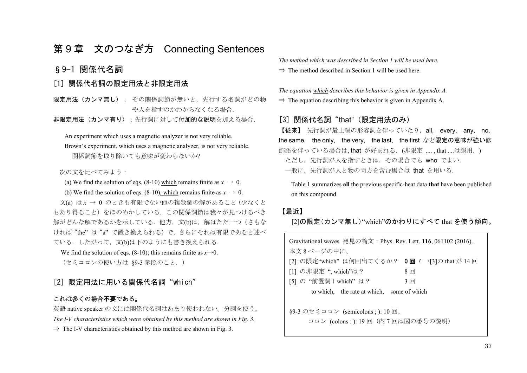# 第 <sup>9</sup> 章 文のつなぎ方 Connecting Sentences

### §9-1 関係代名詞

### [1] 関係代名詞の限定用法と非限定用法

**限定用法(カンマ無し)**: その関係詞節が無いと,先行する名詞がどの物 や人を指すのかわからなくなる場合.

非限定用法(カンマ有り):先行詞に対して付加的な説明を加える場合.

An experiment which uses a magnetic analyzer is not very reliable.

 Brown's experiment, which uses a magnetic analyzer, is not very reliable. 関係詞節を取り除いても意味が変わらないか?

次の文を比べてみよう·

(a) We find the solution of eqs. (8-10) which remains finite as  $x \to 0$ .

(b) We find the solution of eqs. (8-10), which remains finite as  $x \to 0$ .

 文(a) は *<sup>x</sup>* <sup>→</sup> 0 のときも有限でない他の複数個の解があること(少なくと もあり得ること)をほのめかしている. この関係詞節は我々が見つけるべき 解がどんな解であるかを示している. 他方, 文(b)は、解はただ一つ(さもな ければ"the" は"a" で置き換えられる)で,さらにそれは有限であると述べ ている. したがって、文(b)は下のようにも書き換えられる.

We find the solution of eqs. (8-10); this remains finite as  $x\rightarrow 0$ .

(セミコロンの使い方は §9-3 参照のこと.)

### [2] 限定用法に用いる関係代名詞"which"

#### これは多くの場合不要である。

英語 native speaker の文には関係代名詞はあまり使われない。分詞を使う。 *The I-V characteristics which were obtained by this method are shown in Fig. 3.*   $\Rightarrow$  The I-V characteristics obtained by this method are shown in Fig. 3.

*The method which was described in Section 1 will be used here.* 

 $\Rightarrow$  The method described in Section 1 will be used here.

*The equation which describes this behavior is given in Appendix A.*   $\Rightarrow$  The equation describing this behavior is given in Appendix A.

### [3] 関係代名詞"that" (限定用法のみ)

【従来】 先行詞が最上級の形容詞を伴っていたり,all, every, any, no, the same, the only, the very, the last, the first など限定の意味が強い修 飾語を伴っている場合は, that が好まれる. (非限定 ...., that ....は誤用. ) ただし、先行詞が人を指すときは、その場合でも who でよい. 一般に,先行詞が人と物の両方を含む場合は that を用いる.

Table 1 summarizes **all** the previous specific-heat data **that** have been published on this compound.

#### 【最近】

[2]の限定(カンマ無し)"which"のかわりにすべて that を使う傾向。

| Gravitational waves 発見の論文: Phys. Rev. Lett. 116, 061102 (2016). |       |
|-----------------------------------------------------------------|-------|
| 本文8ページの中に、                                                      |       |
| [2] の限定"which"は何回出てくるか? 0回 ! →[3]の that が 14回                   |       |
| [1] の非限定 ", which"は?                                            | $8$ 回 |
| [5] の "前置詞+which" は?                                            | $3$ 回 |
| to which, the rate at which, some of which                      |       |
|                                                                 |       |
| §9-3 のセミコロン (semicolons;): 10回、                                 |       |
| コロン (colons : ): 19回 (内7回は図の番号の説明)                              |       |
|                                                                 |       |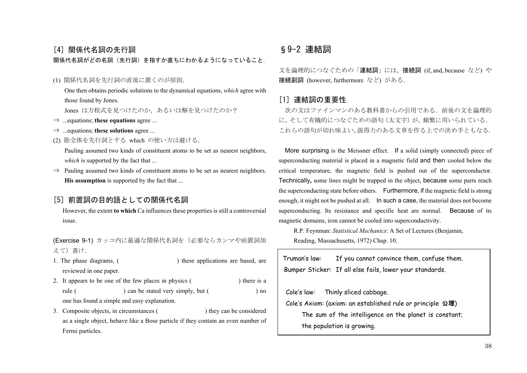# [4] 関係代名詞の先行詞

### 関係代名詞がどの名詞(先行詞)を指すか直ちにわかるようになっていること.

### (1) 関係代名詞を先行詞の直後に置くのが原則.

 One then obtains periodic solutions to the dynamical equations, *which* agree with those found by Jones.

Jones は方程式を見つけたのか,あるいは解を見つけたのか?

- ⇒ ...equations; **these equations** agree ...
- ⇒ ...equations; **these solutions** agree ...
- (2) 節全体を先行詞とする which の使い方は避ける.

 Pauling assumed two kinds of constituent atoms to be set as nearest neighbors, *which* is supported by the fact that ...

⇒ Pauling assumed two kinds of constituent atoms to be set as nearest neighbors. **His assumption** is supported by the fact that ...

### [5] 前置詞の目的語としての関係代名詞

However, the extent **to which** Ca influences these properties is still a controversial issue.

(Exercise 9-1) カッコ内に最適な関係代名詞を(必要ならカンマや前置詞加 えて)書け.

- 1. The phase diagrams, ( ) these applications are based, are reviewed in one paper.
- 2. It appears to be one of the few places in physics () there is a rule ( ) can be stated very simply, but ( ) no one has found a simple and easy explanation.
- 3. Composite objects, in circumstances () they can be considered as a single object, behave like a Bose particle if they contain an even number of Fermi particles.

# §9-2 連結詞

文を論理的につなぐための「連結詞」には,接続詞 (if, and, because など) や 接続副詞 (however, furthermore など) がある.

### [1] 連結詞の重要性

 次の文はファインマンのある教科書からの引用である.前後の文を論理的 に,そして有機的につなぐための語句(太文字)が,頻繁に用いられている. これらの語句が切れ味よい,説得力のある文章を作る上での決め手ともなる.

More surprising is the Meissner effect. If a solid (simply connected) piece of superconducting material is placed in a magnetic field and then cooled below the critical temperature, the magnetic field is pushed out of the superconductor. Technically**,** some lines might be trapped in the object, because some parts reach the superconducting state before others. Furthermore, if the magnetic field is strong enough, it might not be pushed at all. In such a case, the material does not become superconducting. Its resistance and specific heat are normal. Because of its magnetic domains, iron cannot be cooled into superconductivity.

 R.P. Feynman: *Statistical Mechanics*: A Set of Lectures (Benjamin, Reading, Massachusetts, 1972) Chap. 10.

Truman's law: If you cannot convince them, confuse them. Bumper Sticker: If all else fails, lower your standards. Cole's law: Thinly sliced cabbage. Cole's Axiom: (axiom: an established rule or principle 公理) The sum of the intelligence on the planet is constant; the population is growing.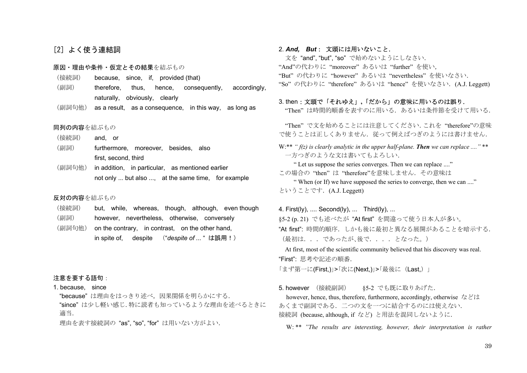### [2] よく使う連結詞

- 原因・理由や条件・仮定とその結果を結ぶもの
- (接続詞) because, since, if, provided (that)
- (副詞) therefore, thus, hence, consequently, accordingly, naturally, obviously, clearly
- (副詞句他) as a result, as a consequence, in this way, as long as

#### 同列の内容を結ぶもの

- (接続詞) and, or
- (副詞) furthermore, moreover, besides, also first, second, third
- (副詞句他) in addition, in particular, as mentioned earlier not only ... but also ..., at the same time, for example

#### 反対の内容を結ぶもの

(接続詞) but, while, whereas, though, although, even though (副詞) however, nevertheless, otherwise, conversely (副詞句他) on the contrary, in contrast, on the other hand, in spite of, despite ("*despite of ...* " は誤用!)

#### 注意を要する語句:

1. because, since

 "because" は理由をはっきり述べ,因果関係を明らかにする. "since" は少し軽い感じ.特に読者も知っているような理由を述べるときに 適当.

理由を表す接続詞の "as", "so", "for" は用いない方がよい.

2. *And, But*: 文頭には用いないこと.

 文を "and", "but", "so" で始めないようにしなさい. "And"の代わりに "moreover" あるいは "further" を使い, "But" の代わりに "however" あるいは "nevertheless" を使いなさい. "So" の代わりに "therefore" あるいは "hence" を使いなさい. (A.J. Leggett)

#### 3. then:文頭で「それゆえ」**,**「だから」の意味に用いるのは誤り.

"Then" は時間的順番を表すのに用いる.あるいは条件節を受けて用いる.

 "Then" で文を始めることには注意してください.これを "therefore"の意味 で使うことは正しくありません. 従って例えばつぎのようには書けません.

W:\*\* *" f(z)* is clearly analytic in the upper half-plane. **Then** we can replace .... " \*\* 一方つぎのような文は書いてもよろしい.

 " Let us suppose the series converges. Then we can replace ...." この場合の "then" は "therefore"を意味しません. その意味は " When (or If) we have supposed the series to converge, then we can ...." ということです.(A.J. Leggett)

4. First(ly), .... Second(ly), ... Third(ly), ... §5-2 (p. 21) でも述べたが "At first" を間違って使う日本人が多い。 "At first": 時間的順序.しかも後に最初と異なる展開があることを暗示する. (最初は...であったが、後で....となった。) At first, most of the scientific community believed that his discovery was real.

"First": 思考や記述の順番.

「まず第一に(First,)|>「次に(Next,)|>「最後に(Last,)」

5. however (接続副詞) 85-2 でも既に取りあげた.

 however, hence, thus, therefore, furthermore, accordingly, otherwise などは あくまで副詞である.二つの文を一つに結合するのには使えない. 接続詞 (because, although, if など) と用法を混同しないように.

W: \*\* *"The results are interesting, however, their interpretation is rather*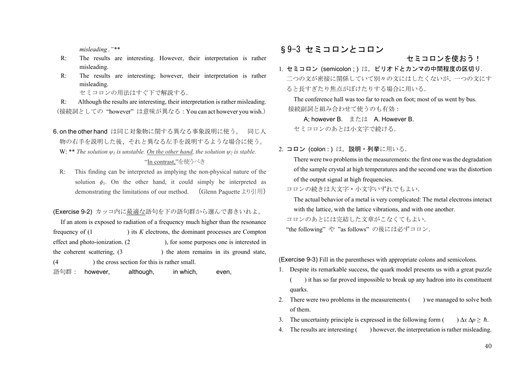*misleading ."\*\** 

- R: The results are interesting. However, their interpretation is rather misleading.
- R: The results are interesting; however, their interpretation is rather misleading.

セミコロンの用法はすぐ下で解説する.

 R: Although the results are interesting, their interpretation is rather misleading. (接続詞としての "however" は意味が異なる:You can act however you wish.)

6. on the other hand は同じ対象物に関する異なる事象説明に使う。 同じ人 物の右手を説明した後、それと異なる左手を説明するような場合に使う。 W: \*\* *The solution*  $\psi_1$  *is unstable. On the other hand, the solution*  $\psi_2$  *is stable.* "In contrast,"を使うべき

 R: This finding can be interpreted as implying the non-physical nature of the solution  $\phi_1$ . On the other hand, it could simply be interpreted as demonstrating the limitations of our method. (Glenn Paquette より引用)

(Exercise 9-2) カッコ内に最適な語句を下の語句群から選んで書きいれよ。

If an atom is exposed to radiation of a frequency much higher than the resonance frequency of (1 ) its *K* electrons, the dominant processes are Compton effect and photo-ionization. (2 ), for some purposes one is interested in the coherent scattering,  $(3 \t)$  the atom remains in its ground state, (4 ) the cross section for this is rather small.

語句群: however, although, in which, even,

# §9-3 セミコロンとコロン

### セミコロンを使おう!

1. セミコロン (semicolon ; ) は,ピリオドとカンマの中間程度の区切り. 二つの文が密接に関係していて別々の文にはしたくないが,一つの文にす ると長すぎたり焦点がぼけたりする場合に用いる.

The conference hall was too far to reach on foot; most of us went by bus. 接続副詞と組み合わせて使うのも有効:

A; however B. または A. However B. セミコロンのあとは小文字で続ける.

2. **コロン (colon : ) は,説明・列挙**に用いる.

There were two problems in the measurements: the first one was the degradation of the sample crystal at high temperatures and the second one was the distortion of the output signal at high frequencies.

コロンの続きは大文字・小文字いずれでもよい.

The actual behavior of a metal is very complicated: The metal electrons interact with the lattice, with the lattice vibrations, and with one another.

コロンのあとには完結した文章がこなくてもよい.

"the following" や "as follows" の後には必ずコロン.

(Exercise 9-3) Fill in the parentheses with appropriate colons and semicolons.

- 1. Despite its remarkable success, the quark model presents us with a great puzzle ( ) it has so far proved impossible to break up any hadron into its constituent quarks.
- 2. There were two problems in the measurements () we managed to solve both of them.
- 3. The uncertainty principle is expressed in the following form  $(\cdot) \Delta x \Delta p \geq \hbar$ .
- 4. The results are interesting ( ) however, the interpretation is rather misleading.